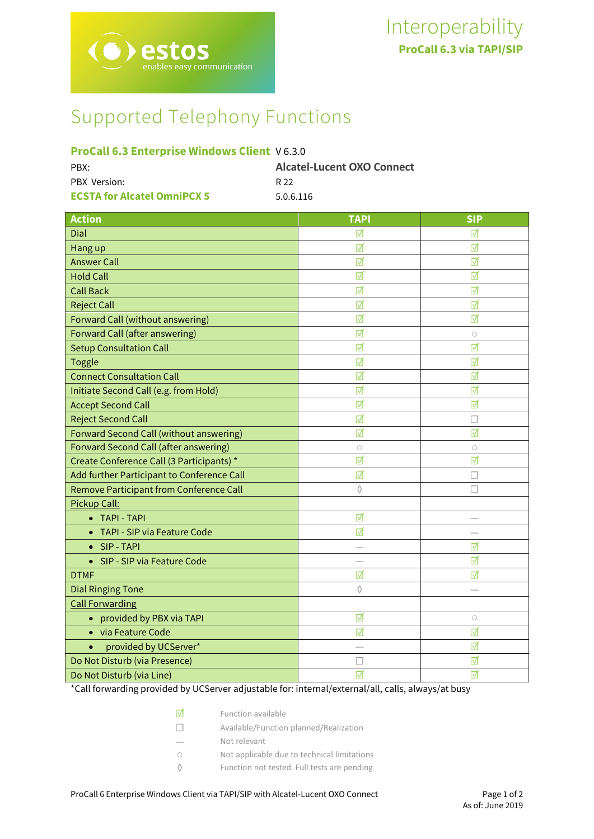# Supported Telephony Functions

# **ProCall 6.3 Enterprise Windows Client** V 6.3.0

| PBX:                               | <b>Alcatel-Lucent OXO Connect</b> |
|------------------------------------|-----------------------------------|
| PBX Version:                       | R 22                              |
| <b>ECSTA for Alcatel OmniPCX 5</b> | 5.0.6.116                         |

| <b>Action</b>                                | <b>TAPI</b>     | <b>SIP</b>               |
|----------------------------------------------|-----------------|--------------------------|
| Dial                                         | ⊽               | ⊽                        |
| Hang up                                      | ⊽               | ⊺⊽                       |
| <b>Answer Call</b>                           | ☑               | ☑                        |
| <b>Hold Call</b>                             | ⊽               | ⊺⊽                       |
| <b>Call Back</b>                             | ☑               | ☑                        |
| <b>Reject Call</b>                           | ☑               | ☑                        |
| Forward Call (without answering)             | ☑               | ☑                        |
| <b>Forward Call (after answering)</b>        | ⊽               | $\circ$                  |
| <b>Setup Consultation Call</b>               | ☑               | ☑                        |
| <b>Toggle</b>                                | $\triangledown$ | ☑                        |
| <b>Connect Consultation Call</b>             | ☑               | ☑                        |
| Initiate Second Call (e.g. from Hold)        | ☑               | ☑                        |
| <b>Accept Second Call</b>                    | ☑               | ☑                        |
| <b>Reject Second Call</b>                    | ☑               | П                        |
| Forward Second Call (without answering)      | ☑               | ☑                        |
| <b>Forward Second Call (after answering)</b> | $\circ$         | $\circ$                  |
| Create Conference Call (3 Participants) *    | ⊽               | ☑                        |
| Add further Participant to Conference Call   | ☑               | $\overline{\phantom{a}}$ |
| Remove Participant from Conference Call      | ♦               | П                        |
| Pickup Call:                                 |                 |                          |
| • TAPI - TAPI                                | ☑               |                          |
| TAPI - SIP via Feature Code<br>$\bullet$     | ⊽               |                          |
| • SIP-TAPI                                   |                 | ☑                        |
| SIP - SIP via Feature Code<br>$\bullet$      |                 | ☑                        |
| <b>DTMF</b>                                  | ☑               | ☑                        |
| <b>Dial Ringing Tone</b>                     | ♦               |                          |
| <b>Call Forwarding</b>                       |                 |                          |
| provided by PBX via TAPI<br>$\bullet$        | ☑               | $\bigcirc$               |
| • via Feature Code                           | ☑               | ☑                        |
| provided by UCServer*                        |                 | ☑                        |
| Do Not Disturb (via Presence)                |                 | ☑                        |
| Do Not Disturb (via Line)                    | ☑               | ☑                        |

\*Call forwarding provided by UCServer adjustable for: internal/external/all, calls, always/at busy

- ☑ Function available
- ☐ Available/Function planned/Realization
- Not relevant
- Not applicable due to technical limitations
- ◊ Function not tested. Full tests are pending